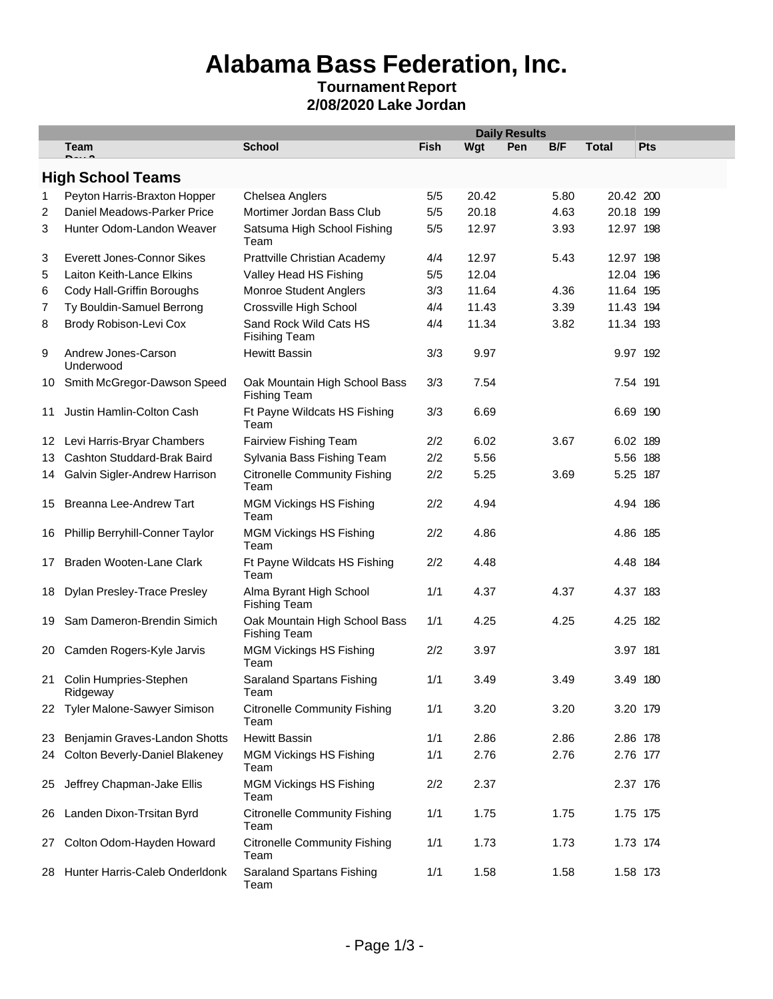## **Alabama Bass Federation, Inc.**

### **Tournament Report 2/08/2020 Lake Jordan**

|                  |                                       | <b>Daily Results</b>                                 |             |       |     |      |              |          |
|------------------|---------------------------------------|------------------------------------------------------|-------------|-------|-----|------|--------------|----------|
|                  | Team                                  | <b>School</b>                                        | <b>Fish</b> | Wgt   | Pen | B/F  | <b>Total</b> | Pts      |
|                  | <b>High School Teams</b>              |                                                      |             |       |     |      |              |          |
| 1                | Peyton Harris-Braxton Hopper          | Chelsea Anglers                                      | 5/5         | 20.42 |     | 5.80 | 20.42 200    |          |
| 2                | Daniel Meadows-Parker Price           | Mortimer Jordan Bass Club                            | 5/5         | 20.18 |     | 4.63 | 20.18 199    |          |
| 3                | Hunter Odom-Landon Weaver             | Satsuma High School Fishing<br>Team                  | 5/5         | 12.97 |     | 3.93 | 12.97 198    |          |
| 3                | <b>Everett Jones-Connor Sikes</b>     | Prattville Christian Academy                         | 4/4         | 12.97 |     | 5.43 | 12.97 198    |          |
| 5                | Laiton Keith-Lance Elkins             | Valley Head HS Fishing                               | 5/5         | 12.04 |     |      | 12.04 196    |          |
| 6                | Cody Hall-Griffin Boroughs            | Monroe Student Anglers                               | 3/3         | 11.64 |     | 4.36 | 11.64 195    |          |
| 7                | Ty Bouldin-Samuel Berrong             | Crossville High School                               | 4/4         | 11.43 |     | 3.39 | 11.43 194    |          |
| 8                | Brody Robison-Levi Cox                | Sand Rock Wild Cats HS<br><b>Fisihing Team</b>       | 4/4         | 11.34 |     | 3.82 | 11.34 193    |          |
| 9                | Andrew Jones-Carson<br>Underwood      | <b>Hewitt Bassin</b>                                 | 3/3         | 9.97  |     |      | 9.97 192     |          |
| 10               | Smith McGregor-Dawson Speed           | Oak Mountain High School Bass<br><b>Fishing Team</b> | 3/3         | 7.54  |     |      | 7.54 191     |          |
| 11               | Justin Hamlin-Colton Cash             | Ft Payne Wildcats HS Fishing<br>Team                 | 3/3         | 6.69  |     |      | 6.69 190     |          |
| 12 <sup>12</sup> | Levi Harris-Bryar Chambers            | Fairview Fishing Team                                | 2/2         | 6.02  |     | 3.67 | 6.02 189     |          |
| 13               | Cashton Studdard-Brak Baird           | Sylvania Bass Fishing Team                           | 2/2         | 5.56  |     |      |              | 5.56 188 |
| 14               | Galvin Sigler-Andrew Harrison         | <b>Citronelle Community Fishing</b><br>Team          | 2/2         | 5.25  |     | 3.69 |              | 5.25 187 |
| 15               | Breanna Lee-Andrew Tart               | <b>MGM Vickings HS Fishing</b><br>Team               | 2/2         | 4.94  |     |      |              | 4.94 186 |
| 16               | Phillip Berryhill-Conner Taylor       | <b>MGM Vickings HS Fishing</b><br>Team               | 2/2         | 4.86  |     |      |              | 4.86 185 |
| 17               | Braden Wooten-Lane Clark              | Ft Payne Wildcats HS Fishing<br>Team                 | 2/2         | 4.48  |     |      |              | 4.48 184 |
| 18               | Dylan Presley-Trace Presley           | Alma Byrant High School<br><b>Fishing Team</b>       | 1/1         | 4.37  |     | 4.37 |              | 4.37 183 |
| 19               | Sam Dameron-Brendin Simich            | Oak Mountain High School Bass<br><b>Fishing Team</b> | 1/1         | 4.25  |     | 4.25 |              | 4.25 182 |
| 20               | Camden Rogers-Kyle Jarvis             | <b>MGM Vickings HS Fishing</b><br>Team               | 2/2         | 3.97  |     |      | 3.97 181     |          |
|                  | 21 Colin Humpries-Stephen<br>Ridgeway | Saraland Spartans Fishing<br>Team                    | 1/1         | 3.49  |     | 3.49 |              | 3.49 180 |
| 22               | Tyler Malone-Sawyer Simison           | <b>Citronelle Community Fishing</b><br>Team          | 1/1         | 3.20  |     | 3.20 |              | 3.20 179 |
| 23               | Benjamin Graves-Landon Shotts         | <b>Hewitt Bassin</b>                                 | 1/1         | 2.86  |     | 2.86 | 2.86 178     |          |
| 24               | <b>Colton Beverly-Daniel Blakeney</b> | <b>MGM Vickings HS Fishing</b><br>Team               | 1/1         | 2.76  |     | 2.76 |              | 2.76 177 |
| 25               | Jeffrey Chapman-Jake Ellis            | <b>MGM Vickings HS Fishing</b><br>Team               | 2/2         | 2.37  |     |      | 2.37 176     |          |
| 26               | Landen Dixon-Trsitan Byrd             | <b>Citronelle Community Fishing</b><br>Team          | 1/1         | 1.75  |     | 1.75 |              | 1.75 175 |
| 27               | Colton Odom-Hayden Howard             | <b>Citronelle Community Fishing</b><br>Team          | 1/1         | 1.73  |     | 1.73 |              | 1.73 174 |
| 28.              | Hunter Harris-Caleb Onderldonk        | Saraland Spartans Fishing<br>Team                    | 1/1         | 1.58  |     | 1.58 |              | 1.58 173 |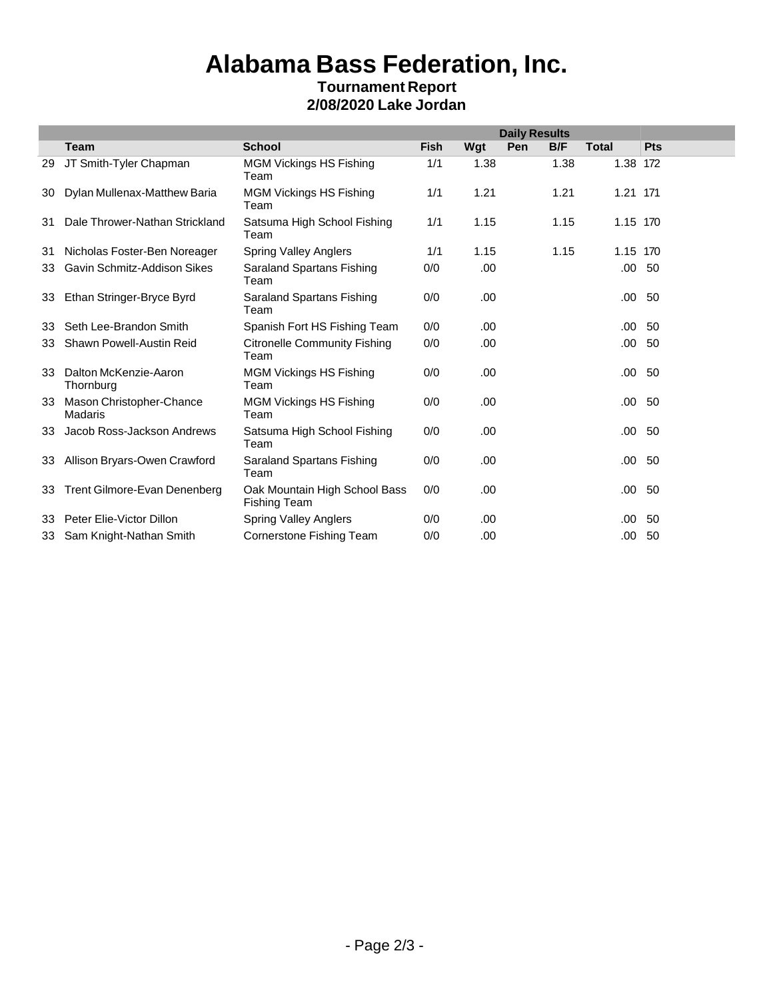## **Alabama Bass Federation, Inc.**

### **Tournament Report 2/08/2020 Lake Jordan**

|    |                                     |                                                      | <b>Daily Results</b> |      |     |      |              |            |
|----|-------------------------------------|------------------------------------------------------|----------------------|------|-----|------|--------------|------------|
|    | <b>Team</b>                         | <b>School</b>                                        | <b>Fish</b>          | Wgt  | Pen | B/F  | <b>Total</b> | <b>Pts</b> |
| 29 | JT Smith-Tyler Chapman              | <b>MGM Vickings HS Fishing</b><br>Team               | 1/1                  | 1.38 |     | 1.38 | 1.38 172     |            |
| 30 | Dylan Mullenax-Matthew Baria        | <b>MGM Vickings HS Fishing</b><br>Team               | 1/1                  | 1.21 |     | 1.21 | 1.21 171     |            |
| 31 | Dale Thrower-Nathan Strickland      | Satsuma High School Fishing<br>Team                  | 1/1                  | 1.15 |     | 1.15 | 1.15 170     |            |
| 31 | Nicholas Foster-Ben Noreager        | <b>Spring Valley Anglers</b>                         | 1/1                  | 1.15 |     | 1.15 | 1.15 170     |            |
| 33 | Gavin Schmitz-Addison Sikes         | Saraland Spartans Fishing<br>Team                    | 0/0                  | .00  |     |      | .00          | 50         |
| 33 | Ethan Stringer-Bryce Byrd           | Saraland Spartans Fishing<br>Team                    | 0/0                  | .00  |     |      | .00          | 50         |
| 33 | Seth Lee-Brandon Smith              | Spanish Fort HS Fishing Team                         | 0/0                  | .00  |     |      | .00          | 50         |
| 33 | Shawn Powell-Austin Reid            | <b>Citronelle Community Fishing</b><br>Team          | 0/0                  | .00  |     |      | .00          | 50         |
| 33 | Dalton McKenzie-Aaron<br>Thornburg  | <b>MGM Vickings HS Fishing</b><br>Team               | 0/0                  | .00  |     |      | .00          | 50         |
| 33 | Mason Christopher-Chance<br>Madaris | <b>MGM Vickings HS Fishing</b><br>Team               | 0/0                  | .00  |     |      | .00          | -50        |
| 33 | Jacob Ross-Jackson Andrews          | Satsuma High School Fishing<br>Team                  | 0/0                  | .00  |     |      | .00          | 50         |
| 33 | Allison Bryars-Owen Crawford        | Saraland Spartans Fishing<br>Team                    | 0/0                  | .00  |     |      | .00          | 50         |
| 33 | Trent Gilmore-Evan Denenberg        | Oak Mountain High School Bass<br><b>Fishing Team</b> | 0/0                  | .00  |     |      | .00          | -50        |
| 33 | Peter Elie-Victor Dillon            | <b>Spring Valley Anglers</b>                         | 0/0                  | .00  |     |      | .00          | 50         |
|    | 33 Sam Knight-Nathan Smith          | <b>Cornerstone Fishing Team</b>                      | 0/0                  | .00  |     |      | .00          | 50         |